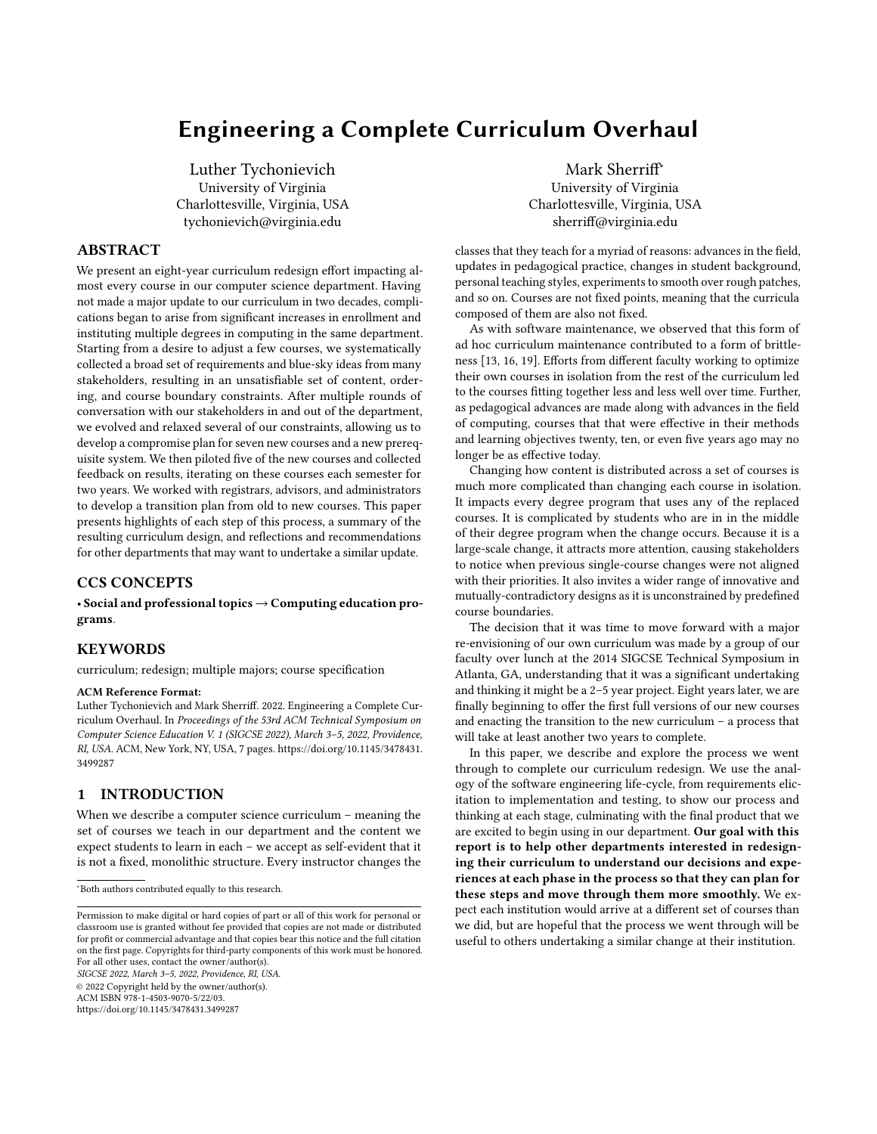# Engineering a Complete Curriculum Overhaul

Luther Tychonievich University of Virginia Charlottesville, Virginia, USA tychonievich@virginia.edu

#### ABSTRACT

We present an eight-year curriculum redesign effort impacting almost every course in our computer science department. Having not made a major update to our curriculum in two decades, complications began to arise from significant increases in enrollment and instituting multiple degrees in computing in the same department. Starting from a desire to adjust a few courses, we systematically collected a broad set of requirements and blue-sky ideas from many stakeholders, resulting in an unsatisfiable set of content, ordering, and course boundary constraints. After multiple rounds of conversation with our stakeholders in and out of the department, we evolved and relaxed several of our constraints, allowing us to develop a compromise plan for seven new courses and a new prerequisite system. We then piloted five of the new courses and collected feedback on results, iterating on these courses each semester for two years. We worked with registrars, advisors, and administrators to develop a transition plan from old to new courses. This paper presents highlights of each step of this process, a summary of the resulting curriculum design, and reflections and recommendations for other departments that may want to undertake a similar update.

# CCS CONCEPTS

• Social and professional topics → Computing education programs.

#### KEYWORDS

curriculum; redesign; multiple majors; course specification

#### ACM Reference Format:

Luther Tychonievich and Mark Sherriff. 2022. Engineering a Complete Curriculum Overhaul. In Proceedings of the 53rd ACM Technical Symposium on Computer Science Education V. 1 (SIGCSE 2022), March 3–5, 2022, Providence, RI, USA. ACM, New York, NY, USA, [7](#page-6-0) pages. [https://doi.org/10.1145/3478431.](https://doi.org/10.1145/3478431.3499287) [3499287](https://doi.org/10.1145/3478431.3499287)

# 1 INTRODUCTION

When we describe a computer science curriculum – meaning the set of courses we teach in our department and the content we expect students to learn in each – we accept as self-evident that it is not a fixed, monolithic structure. Every instructor changes the

SIGCSE 2022, March 3–5, 2022, Providence, RI, USA.

© 2022 Copyright held by the owner/author(s).

ACM ISBN 978-1-4503-9070-5/22/03.

<https://doi.org/10.1145/3478431.3499287>

Mark Sherriff<sup>∗</sup> University of Virginia Charlottesville, Virginia, USA sherriff@virginia.edu

classes that they teach for a myriad of reasons: advances in the field, updates in pedagogical practice, changes in student background, personal teaching styles, experiments to smooth over rough patches, and so on. Courses are not fixed points, meaning that the curricula composed of them are also not fixed.

As with software maintenance, we observed that this form of ad hoc curriculum maintenance contributed to a form of brittleness [\[13,](#page-6-1) [16,](#page-6-2) [19\]](#page-6-3). Efforts from different faculty working to optimize their own courses in isolation from the rest of the curriculum led to the courses fitting together less and less well over time. Further, as pedagogical advances are made along with advances in the field of computing, courses that that were effective in their methods and learning objectives twenty, ten, or even five years ago may no longer be as effective today.

Changing how content is distributed across a set of courses is much more complicated than changing each course in isolation. It impacts every degree program that uses any of the replaced courses. It is complicated by students who are in in the middle of their degree program when the change occurs. Because it is a large-scale change, it attracts more attention, causing stakeholders to notice when previous single-course changes were not aligned with their priorities. It also invites a wider range of innovative and mutually-contradictory designs as it is unconstrained by predefined course boundaries.

The decision that it was time to move forward with a major re-envisioning of our own curriculum was made by a group of our faculty over lunch at the 2014 SIGCSE Technical Symposium in Atlanta, GA, understanding that it was a significant undertaking and thinking it might be a 2–5 year project. Eight years later, we are finally beginning to offer the first full versions of our new courses and enacting the transition to the new curriculum – a process that will take at least another two years to complete.

In this paper, we describe and explore the process we went through to complete our curriculum redesign. We use the analogy of the software engineering life-cycle, from requirements elicitation to implementation and testing, to show our process and thinking at each stage, culminating with the final product that we are excited to begin using in our department. Our goal with this report is to help other departments interested in redesigning their curriculum to understand our decisions and experiences at each phase in the process so that they can plan for these steps and move through them more smoothly. We expect each institution would arrive at a different set of courses than we did, but are hopeful that the process we went through will be useful to others undertaking a similar change at their institution.

<sup>∗</sup>Both authors contributed equally to this research.

Permission to make digital or hard copies of part or all of this work for personal or classroom use is granted without fee provided that copies are not made or distributed for profit or commercial advantage and that copies bear this notice and the full citation on the first page. Copyrights for third-party components of this work must be honored. For all other uses, contact the owner/author(s).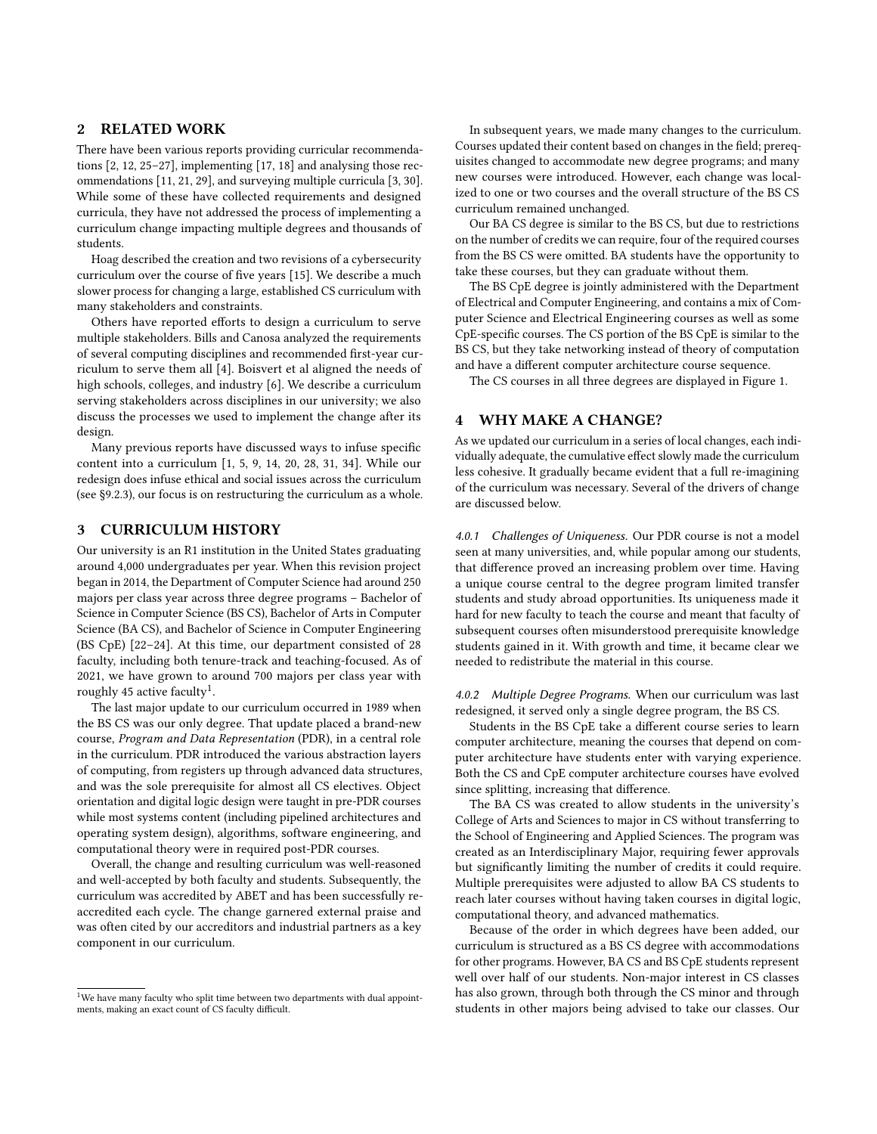# 2 RELATED WORK

There have been various reports providing curricular recommendations [\[2,](#page-6-4) [12,](#page-6-5) [25–](#page-6-6)[27\]](#page-6-7), implementing [\[17,](#page-6-8) [18\]](#page-6-9) and analysing those recommendations [\[11,](#page-6-10) [21,](#page-6-11) [29\]](#page-6-12), and surveying multiple curricula [\[3,](#page-6-13) [30\]](#page-6-14). While some of these have collected requirements and designed curricula, they have not addressed the process of implementing a curriculum change impacting multiple degrees and thousands of students.

Hoag described the creation and two revisions of a cybersecurity curriculum over the course of five years [\[15\]](#page-6-15). We describe a much slower process for changing a large, established CS curriculum with many stakeholders and constraints.

Others have reported efforts to design a curriculum to serve multiple stakeholders. Bills and Canosa analyzed the requirements of several computing disciplines and recommended first-year curriculum to serve them all [\[4\]](#page-6-16). Boisvert et al aligned the needs of high schools, colleges, and industry [\[6\]](#page-6-17). We describe a curriculum serving stakeholders across disciplines in our university; we also discuss the processes we used to implement the change after its design.

Many previous reports have discussed ways to infuse specific content into a curriculum [\[1,](#page-6-18) [5,](#page-6-19) [9,](#page-6-20) [14,](#page-6-21) [20,](#page-6-22) [28,](#page-6-23) [31,](#page-6-24) [34\]](#page-6-25). While our redesign does infuse ethical and social issues across the curriculum (see [§9.2.3\)](#page-5-0), our focus is on restructuring the curriculum as a whole.

# 3 CURRICULUM HISTORY

Our university is an R1 institution in the United States graduating around 4,000 undergraduates per year. When this revision project began in 2014, the Department of Computer Science had around 250 majors per class year across three degree programs – Bachelor of Science in Computer Science (BS CS), Bachelor of Arts in Computer Science (BA CS), and Bachelor of Science in Computer Engineering (BS CpE) [\[22](#page-6-26)[–24\]](#page-6-27). At this time, our department consisted of 28 faculty, including both tenure-track and teaching-focused. As of 2021, we have grown to around 700 majors per class year with roughly 45 active faculty<sup>[1](#page-1-0)</sup>.

The last major update to our curriculum occurred in 1989 when the BS CS was our only degree. That update placed a brand-new course, Program and Data Representation (PDR), in a central role in the curriculum. PDR introduced the various abstraction layers of computing, from registers up through advanced data structures, and was the sole prerequisite for almost all CS electives. Object orientation and digital logic design were taught in pre-PDR courses while most systems content (including pipelined architectures and operating system design), algorithms, software engineering, and computational theory were in required post-PDR courses.

Overall, the change and resulting curriculum was well-reasoned and well-accepted by both faculty and students. Subsequently, the curriculum was accredited by ABET and has been successfully reaccredited each cycle. The change garnered external praise and was often cited by our accreditors and industrial partners as a key component in our curriculum.

In subsequent years, we made many changes to the curriculum. Courses updated their content based on changes in the field; prerequisites changed to accommodate new degree programs; and many new courses were introduced. However, each change was localized to one or two courses and the overall structure of the BS CS curriculum remained unchanged.

Our BA CS degree is similar to the BS CS, but due to restrictions on the number of credits we can require, four of the required courses from the BS CS were omitted. BA students have the opportunity to take these courses, but they can graduate without them.

The BS CpE degree is jointly administered with the Department of Electrical and Computer Engineering, and contains a mix of Computer Science and Electrical Engineering courses as well as some CpE-specific courses. The CS portion of the BS CpE is similar to the BS CS, but they take networking instead of theory of computation and have a different computer architecture course sequence.

The CS courses in all three degrees are displayed in Figure [1.](#page-2-0)

# 4 WHY MAKE A CHANGE?

As we updated our curriculum in a series of local changes, each individually adequate, the cumulative effect slowly made the curriculum less cohesive. It gradually became evident that a full re-imagining of the curriculum was necessary. Several of the drivers of change are discussed below.

4.0.1 Challenges of Uniqueness. Our PDR course is not a model seen at many universities, and, while popular among our students, that difference proved an increasing problem over time. Having a unique course central to the degree program limited transfer students and study abroad opportunities. Its uniqueness made it hard for new faculty to teach the course and meant that faculty of subsequent courses often misunderstood prerequisite knowledge students gained in it. With growth and time, it became clear we needed to redistribute the material in this course.

4.0.2 Multiple Degree Programs. When our curriculum was last redesigned, it served only a single degree program, the BS CS.

Students in the BS CpE take a different course series to learn computer architecture, meaning the courses that depend on computer architecture have students enter with varying experience. Both the CS and CpE computer architecture courses have evolved since splitting, increasing that difference.

The BA CS was created to allow students in the university's College of Arts and Sciences to major in CS without transferring to the School of Engineering and Applied Sciences. The program was created as an Interdisciplinary Major, requiring fewer approvals but significantly limiting the number of credits it could require. Multiple prerequisites were adjusted to allow BA CS students to reach later courses without having taken courses in digital logic, computational theory, and advanced mathematics.

Because of the order in which degrees have been added, our curriculum is structured as a BS CS degree with accommodations for other programs. However, BA CS and BS CpE students represent well over half of our students. Non-major interest in CS classes has also grown, through both through the CS minor and through students in other majors being advised to take our classes. Our

<span id="page-1-0"></span><sup>&</sup>lt;sup>1</sup>We have many faculty who split time between two departments with dual appointments, making an exact count of CS faculty difficult.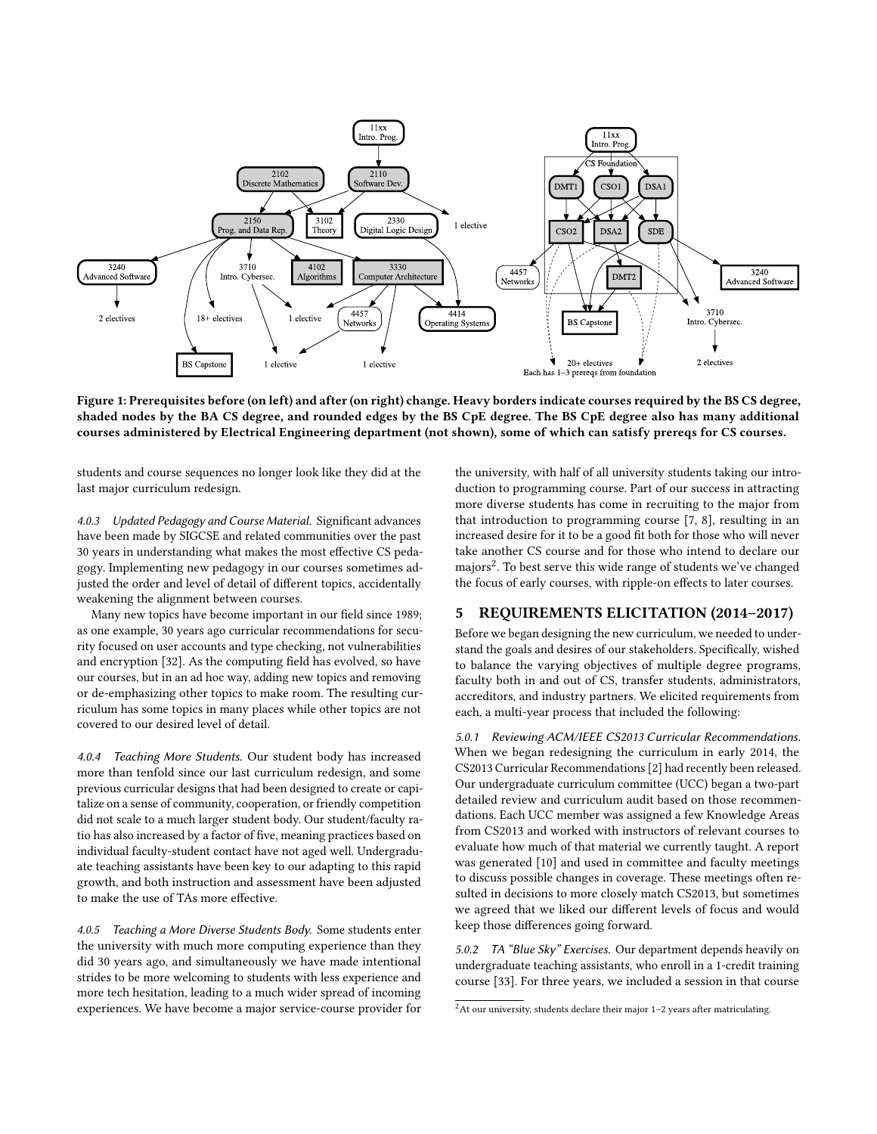<span id="page-2-0"></span>

Figure 1: Prerequisites before (on left) and after (on right) change. Heavy borders indicate courses required by the BS CS degree, shaded nodes by the BA CS degree, and rounded edges by the BS CpE degree. The BS CpE degree also has many additional courses administered by Electrical Engineering department (not shown), some of which can satisfy prereqs for CS courses.

students and course sequences no longer look like they did at the last major curriculum redesign.

4.0.3 Updated Pedagogy and Course Material. Significant advances have been made by SIGCSE and related communities over the past 30 years in understanding what makes the most effective CS pedagogy. Implementing new pedagogy in our courses sometimes adjusted the order and level of detail of different topics, accidentally weakening the alignment between courses.

Many new topics have become important in our field since 1989; as one example, 30 years ago curricular recommendations for security focused on user accounts and type checking, not vulnerabilities and encryption [\[32\]](#page-6-28). As the computing field has evolved, so have our courses, but in an ad hoc way, adding new topics and removing or de-emphasizing other topics to make room. The resulting curriculum has some topics in many places while other topics are not covered to our desired level of detail.

4.0.4 Teaching More Students. Our student body has increased more than tenfold since our last curriculum redesign, and some previous curricular designs that had been designed to create or capitalize on a sense of community, cooperation, or friendly competition did not scale to a much larger student body. Our student/faculty ratio has also increased by a factor of five, meaning practices based on individual faculty-student contact have not aged well. Undergraduate teaching assistants have been key to our adapting to this rapid growth, and both instruction and assessment have been adjusted to make the use of TAs more effective.

4.0.5 Teaching a More Diverse Students Body. Some students enter the university with much more computing experience than they did 30 years ago, and simultaneously we have made intentional strides to be more welcoming to students with less experience and more tech hesitation, leading to a much wider spread of incoming experiences. We have become a major service-course provider for the university, with half of all university students taking our introduction to programming course. Part of our success in attracting more diverse students has come in recruiting to the major from that introduction to programming course [\[7,](#page-6-29) [8\]](#page-6-30), resulting in an increased desire for it to be a good fit both for those who will never take another CS course and for those who intend to declare our majors $^2$  $^2$ . To best serve this wide range of students we've changed the focus of early courses, with ripple-on effects to later courses.

# 5 REQUIREMENTS ELICITATION (2014–2017)

Before we began designing the new curriculum, we needed to understand the goals and desires of our stakeholders. Specifically, wished to balance the varying objectives of multiple degree programs, faculty both in and out of CS, transfer students, administrators, accreditors, and industry partners. We elicited requirements from each, a multi-year process that included the following:

5.0.1 Reviewing ACM/IEEE CS2013 Curricular Recommendations. When we began redesigning the curriculum in early 2014, the CS2013 Curricular Recommendations [\[2\]](#page-6-4) had recently been released. Our undergraduate curriculum committee (UCC) began a two-part detailed review and curriculum audit based on those recommendations. Each UCC member was assigned a few Knowledge Areas from CS2013 and worked with instructors of relevant courses to evaluate how much of that material we currently taught. A report was generated [\[10\]](#page-6-31) and used in committee and faculty meetings to discuss possible changes in coverage. These meetings often resulted in decisions to more closely match CS2013, but sometimes we agreed that we liked our different levels of focus and would keep those differences going forward.

5.0.2 TA "Blue Sky" Exercises. Our department depends heavily on undergraduate teaching assistants, who enroll in a 1-credit training course [\[33\]](#page-6-32). For three years, we included a session in that course

<span id="page-2-1"></span> $2$ At our university, students declare their major 1-2 years after matriculating.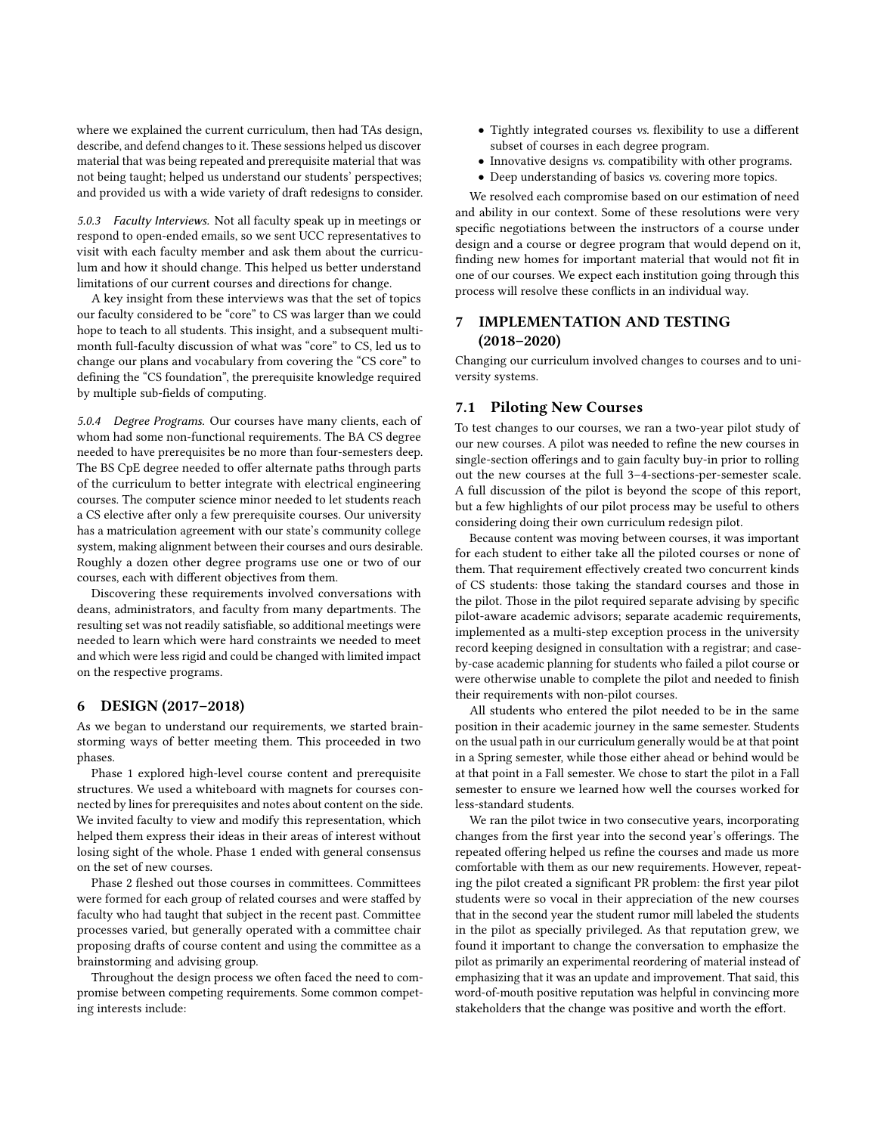where we explained the current curriculum, then had TAs design, describe, and defend changes to it. These sessions helped us discover material that was being repeated and prerequisite material that was not being taught; helped us understand our students' perspectives; and provided us with a wide variety of draft redesigns to consider.

5.0.3 Faculty Interviews. Not all faculty speak up in meetings or respond to open-ended emails, so we sent UCC representatives to visit with each faculty member and ask them about the curriculum and how it should change. This helped us better understand limitations of our current courses and directions for change.

A key insight from these interviews was that the set of topics our faculty considered to be "core" to CS was larger than we could hope to teach to all students. This insight, and a subsequent multimonth full-faculty discussion of what was "core" to CS, led us to change our plans and vocabulary from covering the "CS core" to defining the "CS foundation", the prerequisite knowledge required by multiple sub-fields of computing.

5.0.4 Degree Programs. Our courses have many clients, each of whom had some non-functional requirements. The BA CS degree needed to have prerequisites be no more than four-semesters deep. The BS CpE degree needed to offer alternate paths through parts of the curriculum to better integrate with electrical engineering courses. The computer science minor needed to let students reach a CS elective after only a few prerequisite courses. Our university has a matriculation agreement with our state's community college system, making alignment between their courses and ours desirable. Roughly a dozen other degree programs use one or two of our courses, each with different objectives from them.

Discovering these requirements involved conversations with deans, administrators, and faculty from many departments. The resulting set was not readily satisfiable, so additional meetings were needed to learn which were hard constraints we needed to meet and which were less rigid and could be changed with limited impact on the respective programs.

#### 6 DESIGN (2017–2018)

As we began to understand our requirements, we started brainstorming ways of better meeting them. This proceeded in two phases.

Phase 1 explored high-level course content and prerequisite structures. We used a whiteboard with magnets for courses connected by lines for prerequisites and notes about content on the side. We invited faculty to view and modify this representation, which helped them express their ideas in their areas of interest without losing sight of the whole. Phase 1 ended with general consensus on the set of new courses.

Phase 2 fleshed out those courses in committees. Committees were formed for each group of related courses and were staffed by faculty who had taught that subject in the recent past. Committee processes varied, but generally operated with a committee chair proposing drafts of course content and using the committee as a brainstorming and advising group.

Throughout the design process we often faced the need to compromise between competing requirements. Some common competing interests include:

- Tightly integrated courses vs. flexibility to use a different subset of courses in each degree program.
- Innovative designs vs. compatibility with other programs.
- Deep understanding of basics vs. covering more topics.

We resolved each compromise based on our estimation of need and ability in our context. Some of these resolutions were very specific negotiations between the instructors of a course under design and a course or degree program that would depend on it, finding new homes for important material that would not fit in one of our courses. We expect each institution going through this process will resolve these conflicts in an individual way.

# **IMPLEMENTATION AND TESTING** (2018–2020)

Changing our curriculum involved changes to courses and to university systems.

#### 7.1 Piloting New Courses

To test changes to our courses, we ran a two-year pilot study of our new courses. A pilot was needed to refine the new courses in single-section offerings and to gain faculty buy-in prior to rolling out the new courses at the full 3–4-sections-per-semester scale. A full discussion of the pilot is beyond the scope of this report, but a few highlights of our pilot process may be useful to others considering doing their own curriculum redesign pilot.

Because content was moving between courses, it was important for each student to either take all the piloted courses or none of them. That requirement effectively created two concurrent kinds of CS students: those taking the standard courses and those in the pilot. Those in the pilot required separate advising by specific pilot-aware academic advisors; separate academic requirements, implemented as a multi-step exception process in the university record keeping designed in consultation with a registrar; and caseby-case academic planning for students who failed a pilot course or were otherwise unable to complete the pilot and needed to finish their requirements with non-pilot courses.

All students who entered the pilot needed to be in the same position in their academic journey in the same semester. Students on the usual path in our curriculum generally would be at that point in a Spring semester, while those either ahead or behind would be at that point in a Fall semester. We chose to start the pilot in a Fall semester to ensure we learned how well the courses worked for less-standard students.

We ran the pilot twice in two consecutive years, incorporating changes from the first year into the second year's offerings. The repeated offering helped us refine the courses and made us more comfortable with them as our new requirements. However, repeating the pilot created a significant PR problem: the first year pilot students were so vocal in their appreciation of the new courses that in the second year the student rumor mill labeled the students in the pilot as specially privileged. As that reputation grew, we found it important to change the conversation to emphasize the pilot as primarily an experimental reordering of material instead of emphasizing that it was an update and improvement. That said, this word-of-mouth positive reputation was helpful in convincing more stakeholders that the change was positive and worth the effort.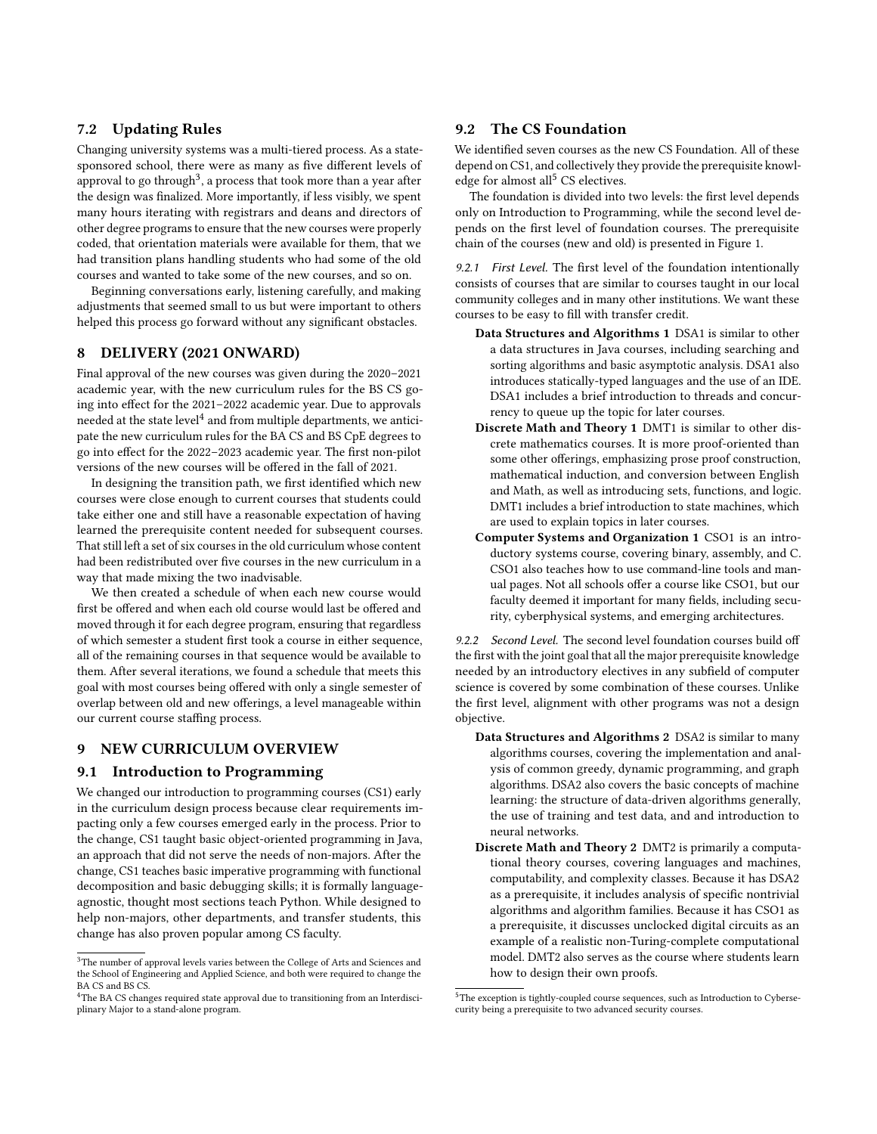# 7.2 Updating Rules

Changing university systems was a multi-tiered process. As a statesponsored school, there were as many as five different levels of approval to go through $^3$  $^3$ , a process that took more than a year after the design was finalized. More importantly, if less visibly, we spent many hours iterating with registrars and deans and directors of other degree programs to ensure that the new courses were properly coded, that orientation materials were available for them, that we had transition plans handling students who had some of the old courses and wanted to take some of the new courses, and so on.

Beginning conversations early, listening carefully, and making adjustments that seemed small to us but were important to others helped this process go forward without any significant obstacles.

## 8 DELIVERY (2021 ONWARD)

Final approval of the new courses was given during the 2020–2021 academic year, with the new curriculum rules for the BS CS going into effect for the 2021–2022 academic year. Due to approvals needed at the state level $^4$  $^4$  and from multiple departments, we anticipate the new curriculum rules for the BA CS and BS CpE degrees to go into effect for the 2022–2023 academic year. The first non-pilot versions of the new courses will be offered in the fall of 2021.

In designing the transition path, we first identified which new courses were close enough to current courses that students could take either one and still have a reasonable expectation of having learned the prerequisite content needed for subsequent courses. That still left a set of six courses in the old curriculum whose content had been redistributed over five courses in the new curriculum in a way that made mixing the two inadvisable.

We then created a schedule of when each new course would first be offered and when each old course would last be offered and moved through it for each degree program, ensuring that regardless of which semester a student first took a course in either sequence, all of the remaining courses in that sequence would be available to them. After several iterations, we found a schedule that meets this goal with most courses being offered with only a single semester of overlap between old and new offerings, a level manageable within our current course staffing process.

#### 9 NEW CURRICULUM OVERVIEW

#### 9.1 Introduction to Programming

We changed our introduction to programming courses (CS1) early in the curriculum design process because clear requirements impacting only a few courses emerged early in the process. Prior to the change, CS1 taught basic object-oriented programming in Java, an approach that did not serve the needs of non-majors. After the change, CS1 teaches basic imperative programming with functional decomposition and basic debugging skills; it is formally languageagnostic, thought most sections teach Python. While designed to help non-majors, other departments, and transfer students, this change has also proven popular among CS faculty.

# 9.2 The CS Foundation

We identified seven courses as the new CS Foundation. All of these depend on CS1, and collectively they provide the prerequisite knowl-edge for almost all<sup>[5](#page-4-2)</sup> CS electives.

The foundation is divided into two levels: the first level depends only on Introduction to Programming, while the second level depends on the first level of foundation courses. The prerequisite chain of the courses (new and old) is presented in Figure [1.](#page-2-0)

9.2.1 First Level. The first level of the foundation intentionally consists of courses that are similar to courses taught in our local community colleges and in many other institutions. We want these courses to be easy to fill with transfer credit.

- Data Structures and Algorithms 1 DSA1 is similar to other a data structures in Java courses, including searching and sorting algorithms and basic asymptotic analysis. DSA1 also introduces statically-typed languages and the use of an IDE. DSA1 includes a brief introduction to threads and concurrency to queue up the topic for later courses.
- Discrete Math and Theory 1 DMT1 is similar to other discrete mathematics courses. It is more proof-oriented than some other offerings, emphasizing prose proof construction, mathematical induction, and conversion between English and Math, as well as introducing sets, functions, and logic. DMT1 includes a brief introduction to state machines, which are used to explain topics in later courses.
- Computer Systems and Organization 1 CSO1 is an introductory systems course, covering binary, assembly, and C. CSO1 also teaches how to use command-line tools and manual pages. Not all schools offer a course like CSO1, but our faculty deemed it important for many fields, including security, cyberphysical systems, and emerging architectures.

9.2.2 Second Level. The second level foundation courses build off the first with the joint goal that all the major prerequisite knowledge needed by an introductory electives in any subfield of computer science is covered by some combination of these courses. Unlike the first level, alignment with other programs was not a design objective.

- Data Structures and Algorithms 2 DSA2 is similar to many algorithms courses, covering the implementation and analysis of common greedy, dynamic programming, and graph algorithms. DSA2 also covers the basic concepts of machine learning: the structure of data-driven algorithms generally, the use of training and test data, and and introduction to neural networks.
- Discrete Math and Theory 2 DMT2 is primarily a computational theory courses, covering languages and machines, computability, and complexity classes. Because it has DSA2 as a prerequisite, it includes analysis of specific nontrivial algorithms and algorithm families. Because it has CSO1 as a prerequisite, it discusses unclocked digital circuits as an example of a realistic non-Turing-complete computational model. DMT2 also serves as the course where students learn how to design their own proofs.

<span id="page-4-0"></span> ${}^{3}{\rm The}$  number of approval levels varies between the College of Arts and Sciences and the School of Engineering and Applied Science, and both were required to change the BA CS and BS CS.

<span id="page-4-1"></span><sup>&</sup>lt;sup>4</sup>The BA CS changes required state approval due to transitioning from an Interdisciplinary Major to a stand-alone program.

<span id="page-4-2"></span><sup>&</sup>lt;sup>5</sup>The exception is tightly-coupled course sequences, such as Introduction to Cybersecurity being a prerequisite to two advanced security courses.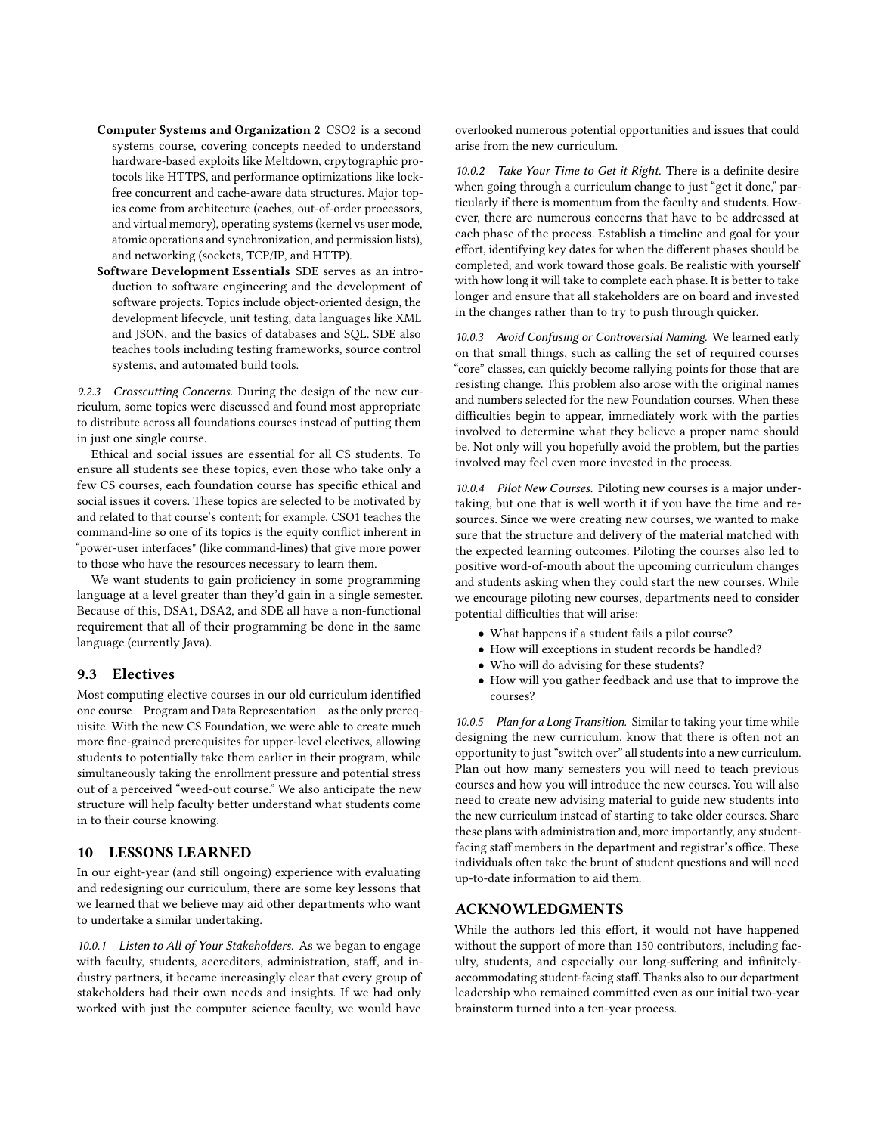- Computer Systems and Organization 2 CSO2 is a second systems course, covering concepts needed to understand hardware-based exploits like Meltdown, crpytographic protocols like HTTPS, and performance optimizations like lockfree concurrent and cache-aware data structures. Major topics come from architecture (caches, out-of-order processors, and virtual memory), operating systems (kernel vs user mode, atomic operations and synchronization, and permission lists), and networking (sockets, TCP/IP, and HTTP).
- Software Development Essentials SDE serves as an introduction to software engineering and the development of software projects. Topics include object-oriented design, the development lifecycle, unit testing, data languages like XML and JSON, and the basics of databases and SQL. SDE also teaches tools including testing frameworks, source control systems, and automated build tools.

<span id="page-5-0"></span>9.2.3 Crosscutting Concerns. During the design of the new curriculum, some topics were discussed and found most appropriate to distribute across all foundations courses instead of putting them in just one single course.

Ethical and social issues are essential for all CS students. To ensure all students see these topics, even those who take only a few CS courses, each foundation course has specific ethical and social issues it covers. These topics are selected to be motivated by and related to that course's content; for example, CSO1 teaches the command-line so one of its topics is the equity conflict inherent in "power-user interfaces" (like command-lines) that give more power to those who have the resources necessary to learn them.

We want students to gain proficiency in some programming language at a level greater than they'd gain in a single semester. Because of this, DSA1, DSA2, and SDE all have a non-functional requirement that all of their programming be done in the same language (currently Java).

#### 9.3 Electives

Most computing elective courses in our old curriculum identified one course – Program and Data Representation – as the only prerequisite. With the new CS Foundation, we were able to create much more fine-grained prerequisites for upper-level electives, allowing students to potentially take them earlier in their program, while simultaneously taking the enrollment pressure and potential stress out of a perceived "weed-out course." We also anticipate the new structure will help faculty better understand what students come in to their course knowing.

## 10 LESSONS LEARNED

In our eight-year (and still ongoing) experience with evaluating and redesigning our curriculum, there are some key lessons that we learned that we believe may aid other departments who want to undertake a similar undertaking.

10.0.1 Listen to All of Your Stakeholders. As we began to engage with faculty, students, accreditors, administration, staff, and industry partners, it became increasingly clear that every group of stakeholders had their own needs and insights. If we had only worked with just the computer science faculty, we would have

overlooked numerous potential opportunities and issues that could arise from the new curriculum.

10.0.2 Take Your Time to Get it Right. There is a definite desire when going through a curriculum change to just "get it done," particularly if there is momentum from the faculty and students. However, there are numerous concerns that have to be addressed at each phase of the process. Establish a timeline and goal for your effort, identifying key dates for when the different phases should be completed, and work toward those goals. Be realistic with yourself with how long it will take to complete each phase. It is better to take longer and ensure that all stakeholders are on board and invested in the changes rather than to try to push through quicker.

10.0.3 Avoid Confusing or Controversial Naming. We learned early on that small things, such as calling the set of required courses "core" classes, can quickly become rallying points for those that are resisting change. This problem also arose with the original names and numbers selected for the new Foundation courses. When these difficulties begin to appear, immediately work with the parties involved to determine what they believe a proper name should be. Not only will you hopefully avoid the problem, but the parties involved may feel even more invested in the process.

10.0.4 Pilot New Courses. Piloting new courses is a major undertaking, but one that is well worth it if you have the time and resources. Since we were creating new courses, we wanted to make sure that the structure and delivery of the material matched with the expected learning outcomes. Piloting the courses also led to positive word-of-mouth about the upcoming curriculum changes and students asking when they could start the new courses. While we encourage piloting new courses, departments need to consider potential difficulties that will arise:

- What happens if a student fails a pilot course?
- How will exceptions in student records be handled?
- Who will do advising for these students?
- How will you gather feedback and use that to improve the courses?

10.0.5 Plan for a Long Transition. Similar to taking your time while designing the new curriculum, know that there is often not an opportunity to just "switch over" all students into a new curriculum. Plan out how many semesters you will need to teach previous courses and how you will introduce the new courses. You will also need to create new advising material to guide new students into the new curriculum instead of starting to take older courses. Share these plans with administration and, more importantly, any studentfacing staff members in the department and registrar's office. These individuals often take the brunt of student questions and will need up-to-date information to aid them.

#### ACKNOWLEDGMENTS

While the authors led this effort, it would not have happened without the support of more than 150 contributors, including faculty, students, and especially our long-suffering and infinitelyaccommodating student-facing staff. Thanks also to our department leadership who remained committed even as our initial two-year brainstorm turned into a ten-year process.